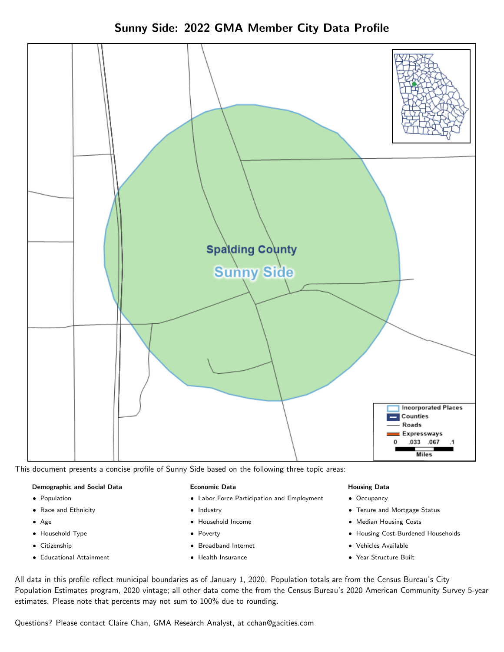Sunny Side: 2022 GMA Member City Data Profile



This document presents a concise profile of Sunny Side based on the following three topic areas:

#### Demographic and Social Data

- **•** Population
- Race and Ethnicity
- Age
- Household Type
- **Citizenship**
- Educational Attainment

#### Economic Data

- Labor Force Participation and Employment
- Industry
- Household Income
- Poverty
- Broadband Internet
- Health Insurance

#### Housing Data

- Occupancy
- Tenure and Mortgage Status
- Median Housing Costs
- Housing Cost-Burdened Households
- Vehicles Available
- Year Structure Built

All data in this profile reflect municipal boundaries as of January 1, 2020. Population totals are from the Census Bureau's City Population Estimates program, 2020 vintage; all other data come the from the Census Bureau's 2020 American Community Survey 5-year estimates. Please note that percents may not sum to 100% due to rounding.

Questions? Please contact Claire Chan, GMA Research Analyst, at [cchan@gacities.com.](mailto:cchan@gacities.com)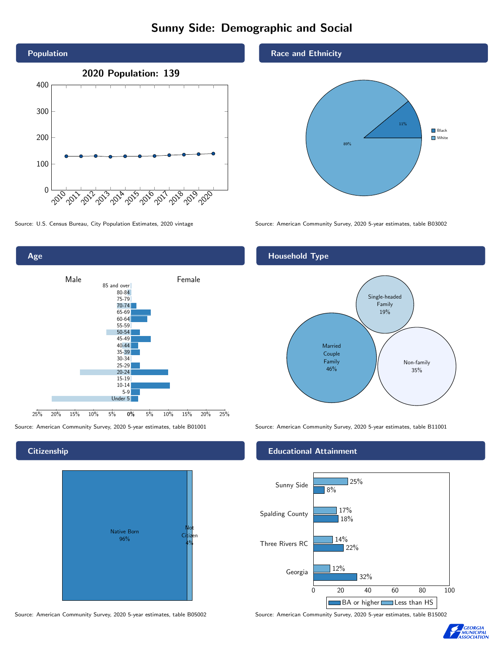# Sunny Side: Demographic and Social





### **Citizenship**



Source: American Community Survey, 2020 5-year estimates, table B05002 Source: American Community Survey, 2020 5-year estimates, table B15002

#### Race and Ethnicity



Source: U.S. Census Bureau, City Population Estimates, 2020 vintage Source: American Community Survey, 2020 5-year estimates, table B03002

#### Household Type



Source: American Community Survey, 2020 5-year estimates, table B01001 Source: American Community Survey, 2020 5-year estimates, table B11001

#### Educational Attainment



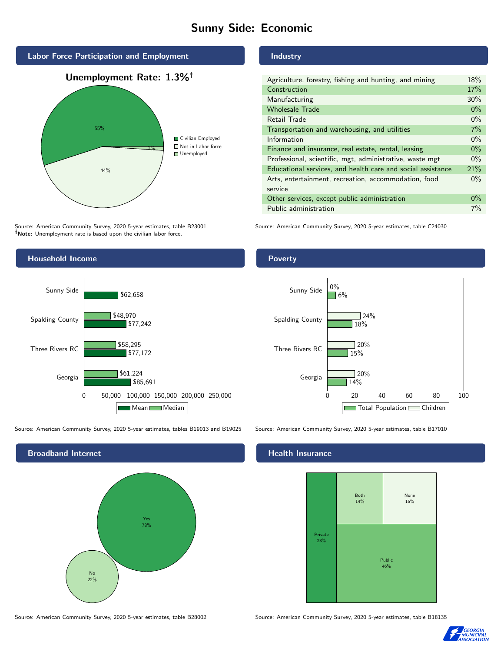# Sunny Side: Economic



Source: American Community Survey, 2020 5-year estimates, table B23001 Note: Unemployment rate is based upon the civilian labor force.

#### Industry

| Agriculture, forestry, fishing and hunting, and mining      | 18%   |
|-------------------------------------------------------------|-------|
| Construction                                                | 17%   |
| Manufacturing                                               | 30%   |
| <b>Wholesale Trade</b>                                      | $0\%$ |
| Retail Trade                                                | $0\%$ |
| Transportation and warehousing, and utilities               | 7%    |
| Information                                                 | $0\%$ |
| Finance and insurance, real estate, rental, leasing         | $0\%$ |
| Professional, scientific, mgt, administrative, waste mgt    | $0\%$ |
| Educational services, and health care and social assistance | 21%   |
| Arts, entertainment, recreation, accommodation, food        | $0\%$ |
| service                                                     |       |
| Other services, except public administration                | $0\%$ |
| Public administration                                       | 7%    |
|                                                             |       |

Source: American Community Survey, 2020 5-year estimates, table C24030



#### Source: American Community Survey, 2020 5-year estimates, tables B19013 and B19025 Source: American Community Survey, 2020 5-year estimates, table B17010



#### Health Insurance



Source: American Community Survey, 2020 5-year estimates, table B28002 Source: American Community Survey, 2020 5-year estimates, table B18135